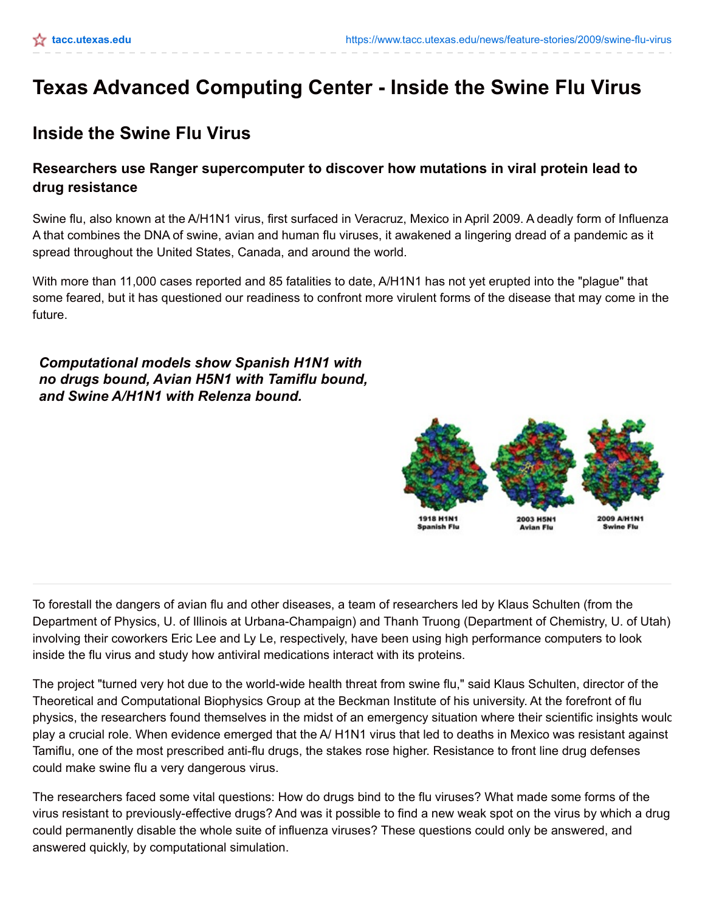# **Texas Advanced Computing Center - Inside the Swine Flu Virus**

## **Inside the Swine Flu Virus**

### **Researchers use Ranger supercomputer to discover how mutations in viral protein lead to drug resistance**

Swine flu, also known at the A/H1N1 virus, first surfaced in Veracruz, Mexico in April 2009. A deadly form of Influenza A that combines the DNA of swine, avian and human flu viruses, it awakened a lingering dread of a pandemic as it spread throughout the United States, Canada, and around the world.

With more than 11,000 cases reported and 85 fatalities to date, A/H1N1 has not yet erupted into the "plague" that some feared, but it has questioned our readiness to confront more virulent forms of the disease that may come in the future.

*Computational models show Spanish H1N1 with no drugs bound, Avian H5N1 with Tamiflu bound, and Swine A/H1N1 with Relenza bound.*



To forestall the dangers of avian flu and other diseases, a team of researchers led by Klaus Schulten (from the Department of Physics, U. of Illinois at Urbana-Champaign) and Thanh Truong (Department of Chemistry, U. of Utah) involving their coworkers Eric Lee and Ly Le, respectively, have been using high performance computers to look inside the flu virus and study how antiviral medications interact with its proteins.

The project "turned very hot due to the world-wide health threat from swine flu," said Klaus Schulten, director of the Theoretical and Computational Biophysics Group at the Beckman Institute of his university. At the forefront of flu physics, the researchers found themselves in the midst of an emergency situation where their scientific insights would play a crucial role. When evidence emerged that the A/ H1N1 virus that led to deaths in Mexico was resistant against Tamiflu, one of the most prescribed anti-flu drugs, the stakes rose higher. Resistance to front line drug defenses could make swine flu a very dangerous virus.

The researchers faced some vital questions: How do drugs bind to the flu viruses? What made some forms of the virus resistant to previously-effective drugs? And was it possible to find a new weak spot on the virus by which a drug could permanently disable the whole suite of influenza viruses? These questions could only be answered, and answered quickly, by computational simulation.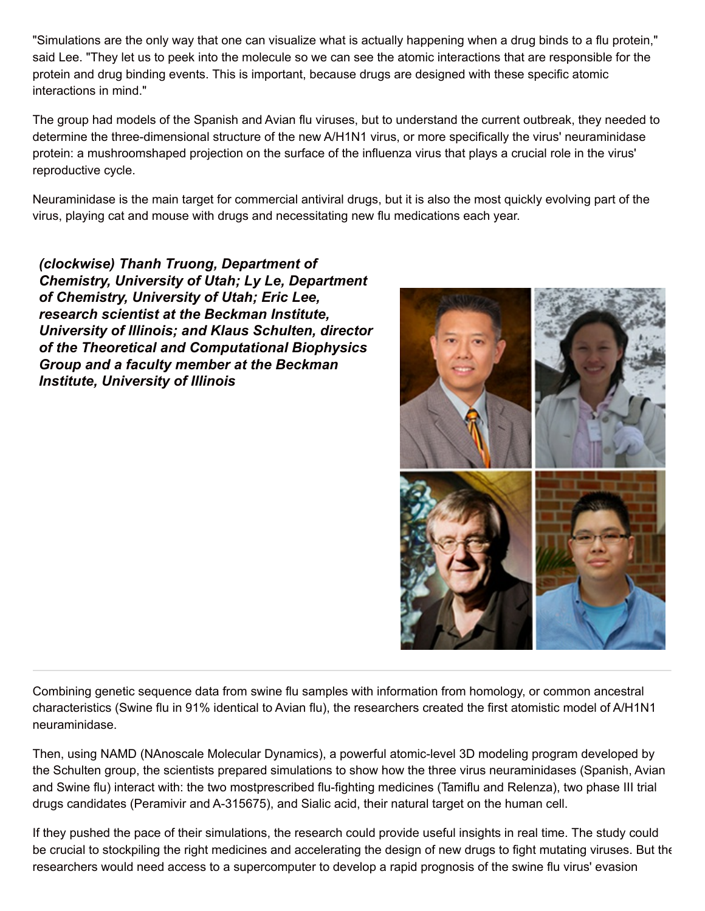"Simulations are the only way that one can visualize what is actually happening when a drug binds to a flu protein," said Lee. "They let us to peek into the molecule so we can see the atomic interactions that are responsible for the protein and drug binding events. This is important, because drugs are designed with these specific atomic interactions in mind."

The group had models of the Spanish and Avian flu viruses, but to understand the current outbreak, they needed to determine the three-dimensional structure of the new A/H1N1 virus, or more specifically the virus' neuraminidase protein: a mushroomshaped projection on the surface of the influenza virus that plays a crucial role in the virus' reproductive cycle.

Neuraminidase is the main target for commercial antiviral drugs, but it is also the most quickly evolving part of the virus, playing cat and mouse with drugs and necessitating new flu medications each year.

*(clockwise) Thanh Truong, Department of Chemistry, University of Utah; Ly Le, Department of Chemistry, University of Utah; Eric Lee, research scientist at the Beckman Institute, University of Illinois; and Klaus Schulten, director of the Theoretical and Computational Biophysics Group and a faculty member at the Beckman Institute, University of Illinois*



Combining genetic sequence data from swine flu samples with information from homology, or common ancestral characteristics (Swine flu in 91% identical to Avian flu), the researchers created the first atomistic model of A/H1N1 neuraminidase.

Then, using NAMD (NAnoscale Molecular Dynamics), a powerful atomic-level 3D modeling program developed by the Schulten group, the scientists prepared simulations to show how the three virus neuraminidases (Spanish, Avian and Swine flu) interact with: the two mostprescribed flu-fighting medicines (Tamiflu and Relenza), two phase III trial drugs candidates (Peramivir and A-315675), and Sialic acid, their natural target on the human cell.

If they pushed the pace of their simulations, the research could provide useful insights in real time. The study could be crucial to stockpiling the right medicines and accelerating the design of new drugs to fight mutating viruses. But the researchers would need access to a supercomputer to develop a rapid prognosis of the swine flu virus' evasion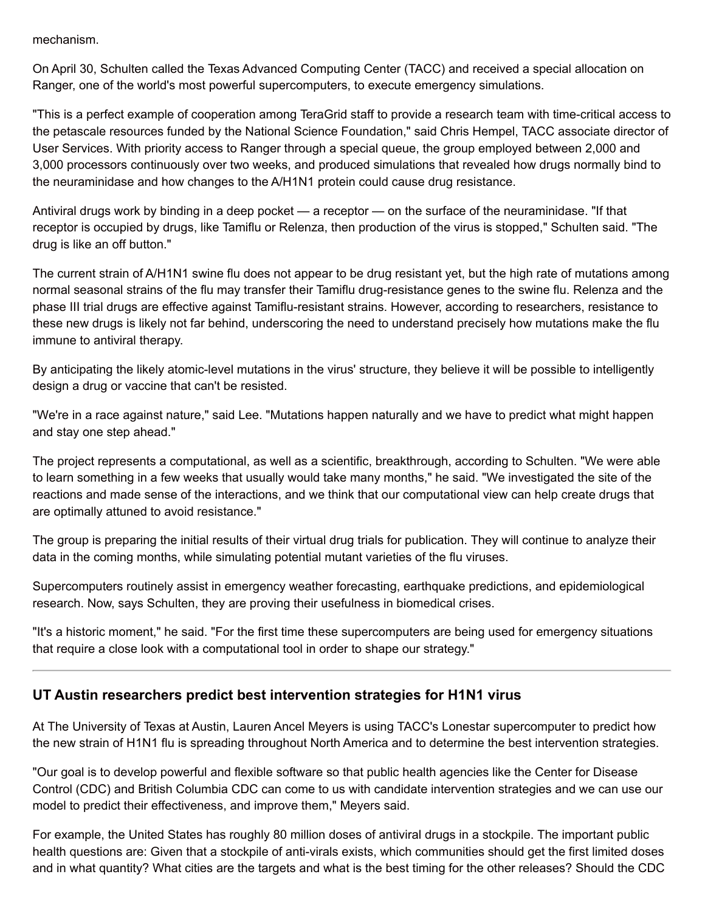mechanism.

On April 30, Schulten called the Texas Advanced Computing Center (TACC) and received a special allocation on Ranger, one of the world's most powerful supercomputers, to execute emergency simulations.

"This is a perfect example of cooperation among TeraGrid staff to provide a research team with time-critical access to the petascale resources funded by the National Science Foundation," said Chris Hempel, TACC associate director of User Services. With priority access to Ranger through a special queue, the group employed between 2,000 and 3,000 processors continuously over two weeks, and produced simulations that revealed how drugs normally bind to the neuraminidase and how changes to the A/H1N1 protein could cause drug resistance.

Antiviral drugs work by binding in a deep pocket — a receptor — on the surface of the neuraminidase. "If that receptor is occupied by drugs, like Tamiflu or Relenza, then production of the virus is stopped," Schulten said. "The drug is like an off button."

The current strain of A/H1N1 swine flu does not appear to be drug resistant yet, but the high rate of mutations among normal seasonal strains of the flu may transfer their Tamiflu drug-resistance genes to the swine flu. Relenza and the phase III trial drugs are effective against Tamiflu-resistant strains. However, according to researchers, resistance to these new drugs is likely not far behind, underscoring the need to understand precisely how mutations make the flu immune to antiviral therapy.

By anticipating the likely atomic-level mutations in the virus' structure, they believe it will be possible to intelligently design a drug or vaccine that can't be resisted.

"We're in a race against nature," said Lee. "Mutations happen naturally and we have to predict what might happen and stay one step ahead."

The project represents a computational, as well as a scientific, breakthrough, according to Schulten. "We were able to learn something in a few weeks that usually would take many months," he said. "We investigated the site of the reactions and made sense of the interactions, and we think that our computational view can help create drugs that are optimally attuned to avoid resistance."

The group is preparing the initial results of their virtual drug trials for publication. They will continue to analyze their data in the coming months, while simulating potential mutant varieties of the flu viruses.

Supercomputers routinely assist in emergency weather forecasting, earthquake predictions, and epidemiological research. Now, says Schulten, they are proving their usefulness in biomedical crises.

"It's a historic moment," he said. "For the first time these supercomputers are being used for emergency situations that require a close look with a computational tool in order to shape our strategy."

#### **UT Austin researchers predict best intervention strategies for H1N1 virus**

At The University of Texas at Austin, Lauren Ancel Meyers is using TACC's Lonestar supercomputer to predict how the new strain of H1N1 flu is spreading throughout North America and to determine the best intervention strategies.

"Our goal is to develop powerful and flexible software so that public health agencies like the Center for Disease Control (CDC) and British Columbia CDC can come to us with candidate intervention strategies and we can use our model to predict their effectiveness, and improve them," Meyers said.

For example, the United States has roughly 80 million doses of antiviral drugs in a stockpile. The important public health questions are: Given that a stockpile of anti-virals exists, which communities should get the first limited doses and in what quantity? What cities are the targets and what is the best timing for the other releases? Should the CDC